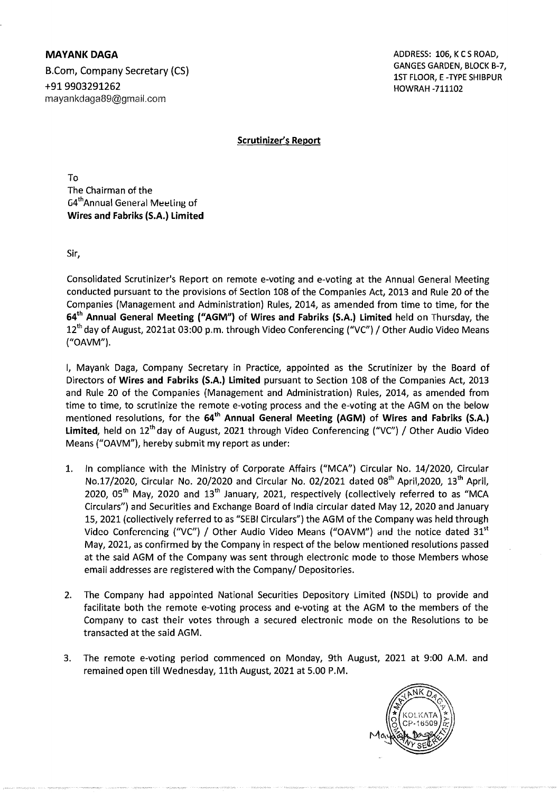MAYANK DAGA ADDRESS: 106, KCSROAD, B.Com, Company Secretary (CS) Examples of the Canadian Secretary (CS) and the Canadian Secretary (CS) and the C<br>1ST FLOOR, E-TYPE SHIBPUR<br>HOWRAH -711102 mayankdaga89@gmail.com

+919903291262 HOWRAH -711102

Scrutinizer's Report

To The Chairman of the G4thAnnuai General Meeting of Wires and Fabriks (S.A.) Limited

Sir,

Consolidated Scrutinizer's Report on remote e-voting and e-voting at the Annual General Meeting conducted pursuant to the provisions of Section 108 of the Companies Act, 2013 and Rule 20 of the Companies (Management and Administration) Rules, 2014, as amended from time to time, for the 64<sup>th</sup> Annual General Meeting ("AGM") of Wires and Fabriks (S.A.) Limited held on Thursday, the 12<sup>th</sup> day of August, 2021at 03:00 p.m. through Video Conferencing ("VC") / Other Audio Video Means ("OAVM").

I, Mayank Daga, Company Secretary in Practice, appointed as the Scrutinizer by the Board of Directors of Wires and Fabriks (S.A.) Limited pursuant to Section lOS of the Companies Act, 2013 and Rule 20 of the Companies (Management and Administration) Rules, 2014, as amended from time to time, to scrutinize the remote e-voting process and the e-voting at the AGM on the below mentioned resolutions, for the 64<sup>th</sup> Annual General Meeting (AGM) of Wires and Fabriks (S.A.) Limited, held on  $12<sup>th</sup>$  day of August, 2021 through Video Conferencing ("VC") / Other Audio Video Means ("OAVM"), hereby submit my report as under:

- 1. In compliance with the Ministry of Corporate Affairs ("MCA") Circular No. 14/2020, Circular No.17/2020, Circular No. 20/2020 and Circular No. 02/2021 dated 08<sup>th</sup> April,2020, 13<sup>th</sup> April, 2020, 05<sup>th</sup> May, 2020 and 13<sup>th</sup> January, 2021, respectively (collectively referred to as "MCA Circulars") and Securities and Exchange Soard of India circular dated May 12, 2020 and January 15,2021 (collectively referred to as "SESI Circulars") the AGM of the Company was held through Video Conferencing ("VC") / Other Audio Video Means ("OAVM") and the notice dated  $31<sup>st</sup>$ May, 2021, as confirmed by the Company in respect of the below mentioned resolutions passed at the said AGM of the Company was sent through electronic mode to those Members whose email addresses are registered with the Company/ Depositories.
- 2. The Company had appointed National Securities Depository Limited (NSDL) to provide and facilitate both the remote e-voting process and e-voting at the AGM to the members of the Company to cast their votes through a secured electronic mode on the Resolutions to be transacted at the said AGM.
- 3. The remote e-voting period commenced on Monday, 9th August, 2021 at 9:00 A.M. and remained open till Wednesday, 11th August, 2021 at 5.00 P.M.

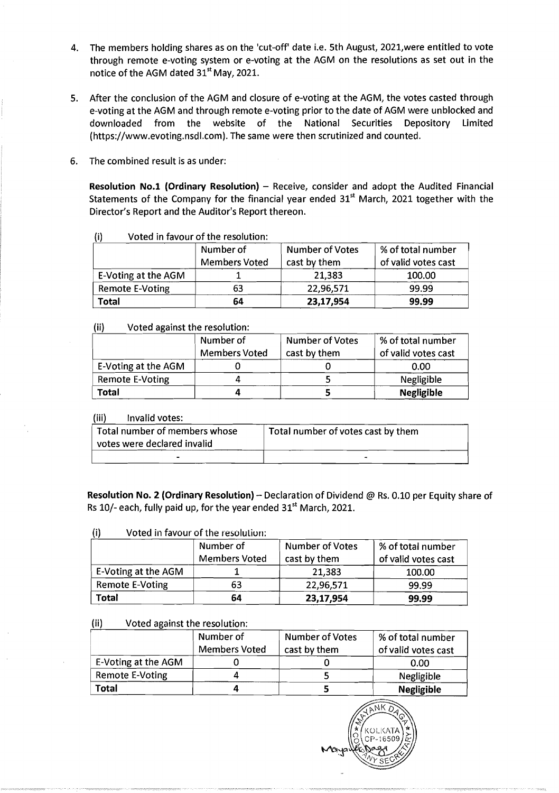- 4. The members holding shares as on the 'cut-off' date i.e. 5th August, 2021, were entitled to vote through remote e-voting system or e-voting at the AGM on the resolutions as set out in the notice of the AGM dated 31<sup>st</sup> May, 2021.
- 5. After the conclusion of the AGM and closure of e-voting at the AGM, the votes casted through e-voting at the AGM and through remote e-voting prior to the date of AGM were unblocked and downloaded from the website of the National Securities Depository Limited (https://www.evoting.nsdl.com). The same were then scrutinized and counted.
- 6. The combined result is as under:

**Resolution No.1 (Ordinary Resolution)** - Receive, consider and adopt the Audited Financial Statements of the Company for the financial year ended  $31<sup>st</sup>$  March, 2021 together with the Director's Report and the Auditor's Report thereon.

|                        | Number of<br><b>Members Voted</b> | <b>Number of Votes</b><br>cast by them | % of total number<br>of valid votes cast |
|------------------------|-----------------------------------|----------------------------------------|------------------------------------------|
| E-Voting at the AGM    |                                   | 21,383                                 | 100.00                                   |
| <b>Remote E-Voting</b> | 63                                | 22,96,571                              | 99.99                                    |
| <b>Total</b>           | 64                                | 23,17,954                              | 99.99                                    |

## (i) Voted in favour of the resolution:

### (ii) Voted against the resolution:

|                     | Number of            | Number of Votes | % of total number   |
|---------------------|----------------------|-----------------|---------------------|
|                     | <b>Members Voted</b> | cast by them    | of valid votes cast |
| E-Voting at the AGM |                      |                 | 0.00                |
| Remote E-Voting     |                      |                 | Negligible          |
| Total               |                      |                 | <b>Negligible</b>   |

#### (iii) Invalid votes:

| Total number of members whose<br>votes were declared invalid | Total number of votes cast by them |
|--------------------------------------------------------------|------------------------------------|
|                                                              |                                    |

**Resolution No. 2 (Ordinary Resolution)** - Declaration of Dividend @ Rs. 0.10 per Equity share of Rs 10/- each, fully paid up, for the year ended 31<sup>st</sup> March, 2021.

| (i) | Voted in favour of the resolution: |                 |
|-----|------------------------------------|-----------------|
|     | Number of                          | Number of Votes |

|                     | Number of<br><b>Members Voted</b> | Number of Votes<br>cast by them | % of total number<br>of valid votes cast |
|---------------------|-----------------------------------|---------------------------------|------------------------------------------|
| E-Voting at the AGM |                                   | 21,383                          | 100.00                                   |
| Remote E-Voting     | 63                                | 22,96,571                       | 99.99                                    |
| <b>Total</b>        | 64                                | 23,17,954                       | 99.99                                    |

### (ii) Voted against the resolution:

|                        | Number of<br><b>Members Voted</b> | Number of Votes<br>cast by them | % of total number<br>of valid votes cast |
|------------------------|-----------------------------------|---------------------------------|------------------------------------------|
| E-Voting at the AGM    |                                   |                                 | 0.00                                     |
| <b>Remote E-Voting</b> |                                   |                                 | Negligible                               |
| Total                  |                                   |                                 | <b>Negligible</b>                        |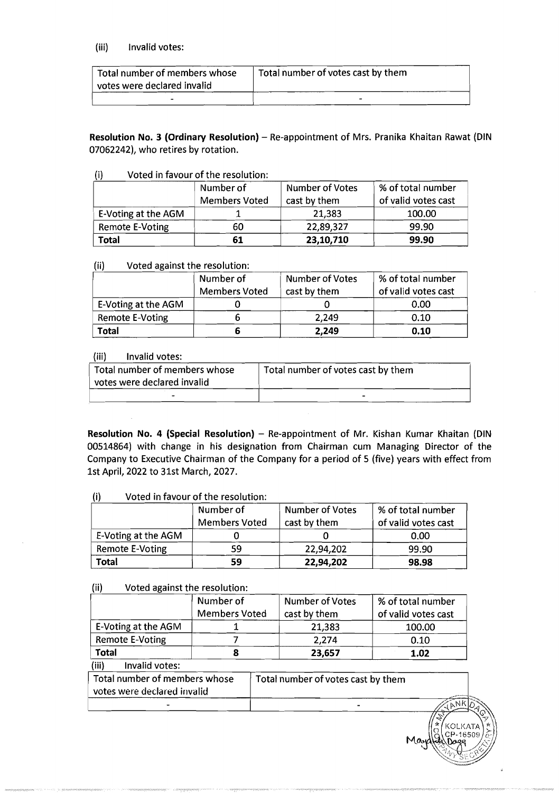## (iii) Invalid votes:

| Total number of members whose<br>votes were declared invalid | Total number of votes cast by them |
|--------------------------------------------------------------|------------------------------------|
|                                                              |                                    |

Resolution No. 3 (Ordinary Resolution) - Re-appointment of Mrs. Pranika Khaitan Rawat (DIN 07062242), who retires by rotation.

### (i) Voted in favour of the resolution:

|                     | Number of<br><b>Members Voted</b> | <b>Number of Votes</b><br>cast by them | % of total number<br>of valid votes cast |
|---------------------|-----------------------------------|----------------------------------------|------------------------------------------|
| E-Voting at the AGM |                                   | 21,383                                 | 100.00                                   |
| Remote E-Voting     | 60                                | 22,89,327                              | 99.90                                    |
| Total               | 61                                | 23,10,710                              | 99.90                                    |

## (ii) Voted against the resolution:

|                     | Number of<br><b>Members Voted</b> | <b>Number of Votes</b><br>cast by them | % of total number<br>of valid votes cast |
|---------------------|-----------------------------------|----------------------------------------|------------------------------------------|
| E-Voting at the AGM |                                   |                                        | 0.00                                     |
| Remote E-Voting     |                                   | 2,249                                  | 0.10                                     |
| Total               |                                   | 2,249                                  | 0.10                                     |

### (iii) Invalid votes:

| Total number of members whose<br>votes were declared invalid | Total number of votes cast by them |  |
|--------------------------------------------------------------|------------------------------------|--|
| -                                                            |                                    |  |

Resolution No. 4 (Special Resolution) - Re-appointment of Mr. Kishan Kumar Khaitan (DIN 00514864) with change in his designation from Chairman cum Managing Director of the Company to Executive Chairman of the Company for a period of 5 (five) years with effect from 1st April, 2022 to 31st March, 2027.

|                     | Number of<br><b>Members Voted</b> | Number of Votes<br>cast by them | % of total number<br>of valid votes cast |
|---------------------|-----------------------------------|---------------------------------|------------------------------------------|
| E-Voting at the AGM |                                   |                                 | 0.00                                     |
| Remote E-Voting     | 59                                | 22,94,202                       | 99.90                                    |
| Total               | 59                                | 22,94,202                       | 98.98                                    |

# (i) Voted in favour of the resolution:

## (ii) Voted against the resolution:

-

|                                                              | Number of<br><b>Members Voted</b> | Number of Votes<br>cast by them    | % of total number<br>of valid votes cast |
|--------------------------------------------------------------|-----------------------------------|------------------------------------|------------------------------------------|
| E-Voting at the AGM                                          |                                   | 21,383                             | 100.00                                   |
| <b>Remote E-Voting</b>                                       |                                   | 2,274                              | 0.10                                     |
| <b>Total</b>                                                 | 8                                 | 23,657                             | 1.02                                     |
| (iii)<br>Invalid votes:                                      |                                   |                                    |                                          |
| Total number of members whose<br>votes were declared invalid |                                   | Total number of votes cast by them | <b>Land Montana</b>                      |

 $\sqrt{\frac{\lambda_{\text{N}}}{\lambda_{\text{N}}}}$ I T KOLKA  $MA$ ,  $\frac{1}{9}$  CP-165  $J\lll_{\rm c}$  $\mathcal{F}_\lambda$  25,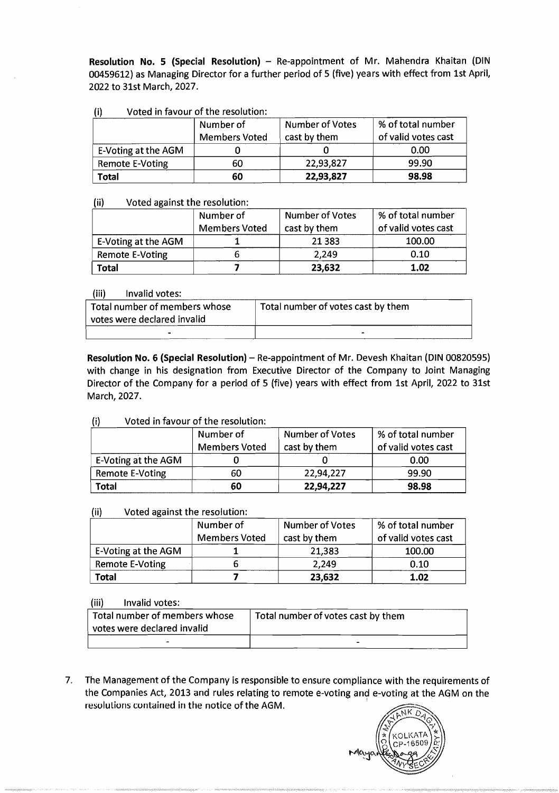**Resolution No. 5 (Special Resolution)** - Re-appointment of Mr. Mahendra Khaitan (DIN 00459612) as Managing Director for a further period of 5 (five) years with effect from 1st April, 2022 to 31st March, 2027.

## (i) Voted in favour of the resolution:

|                     | Number of            | <b>Number of Votes</b> | % of total number   |
|---------------------|----------------------|------------------------|---------------------|
|                     | <b>Members Voted</b> | cast by them           | of valid votes cast |
| E-Voting at the AGM |                      |                        | 0.00                |
| Remote E-Voting     | 60                   | 22,93,827              | 99.90               |
| Total               | 60                   | 22,93,827              | 98.98               |

### (ii) Voted against the resolution:

|                     | Number of            | Number of Votes | % of total number   |
|---------------------|----------------------|-----------------|---------------------|
|                     | <b>Members Voted</b> | cast by them    | of valid votes cast |
| E-Voting at the AGM |                      | 21 3 8 3        | 100.00              |
| Remote E-Voting     |                      | 2,249           | 0.10                |
| <b>Total</b>        |                      | 23,632          | 1.02                |

### (iii) Invalid votes:

| Total number of members whose<br>votes were declared invalid | Total number of votes cast by them |
|--------------------------------------------------------------|------------------------------------|
|                                                              |                                    |

**Resolution No. 6 (Special Resolution)** - Re-appointment of Mr. Devesh Khaitan (DIN 00820595) with change in his designation from Executive Director of the Company to Joint Managing Director of the Company for a period of 5 (five) years with effect from 1st April, 2022 to 31st March, 2027.

## (i) Voted in favour of the resolution:

|                     | Number of<br><b>Members Voted</b> | <b>Number of Votes</b><br>cast by them | % of total number<br>of valid votes cast |
|---------------------|-----------------------------------|----------------------------------------|------------------------------------------|
| E-Voting at the AGM |                                   |                                        | 0.00                                     |
| Remote E-Voting     | 60                                | 22,94,227                              | 99.90                                    |
| Total               | 60                                | 22,94,227                              | 98.98                                    |

## (ii) Voted against the resolution:

|                     | Number of            | <b>Number of Votes</b> | % of total number   |
|---------------------|----------------------|------------------------|---------------------|
|                     | <b>Members Voted</b> | cast by them           | of valid votes cast |
| E-Voting at the AGM |                      | 21,383                 | 100.00              |
| Remote E-Voting     |                      | 2,249                  | 0.10                |
| Total               |                      | 23,632                 | 1.02                |

### (iii) Invalid votes:

| Total number of members whose<br>votes were declared invalid | Total number of votes cast by them |
|--------------------------------------------------------------|------------------------------------|
|                                                              |                                    |

7. The Management of the Company is responsible to ensure compliance with the requirements of the Companies Act, 2013 and rules relating to remote e-voting and e-voting at the AGM on the resolutions contained in the notice of the AGM.